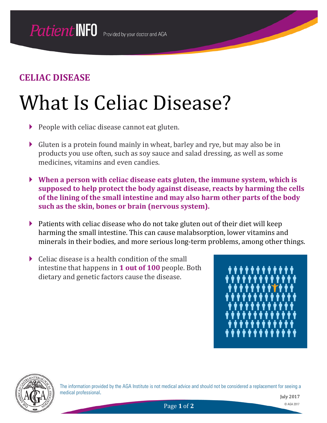## What Is Celiac Disease?

- People with celiac disease cannot eat gluten.
- Gluten is a protein found mainly in wheat, barley and rye, but may also be in products you use often, such as soy sauce and salad dressing, as well as some medicines, vitamins and even candies.
- **When a person with celiac disease eats gluten, the immune system, which is supposed to help protect the body against disease, reacts by harming the cells of the lining of the small intestine and may also harm other parts of the body such as the skin, bones or brain (nervous system).**
- $\triangleright$  Patients with celiac disease who do not take gluten out of their diet will keep harming the small intestine. This can cause malabsorption, lower vitamins and minerals in their bodies, and more serious long-term problems, among other things.
- $\triangleright$  Celiac disease is a health condition of the small intestine that happens in **1 out of 100** people. Both dietary and genetic factors cause the disease.





The information provided by the AGA Institute is not medical advice and should not be considered a replacement for seeing a medical professional.

July 2017

Page **1** of **2** © AGA 2017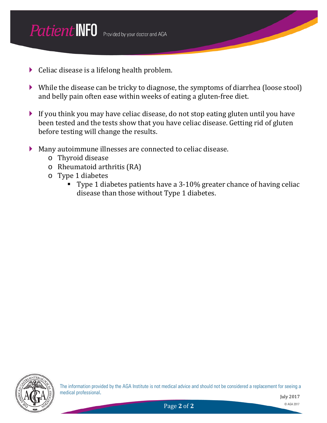- $\triangleright$  Celiac disease is a lifelong health problem.
- While the disease can be tricky to diagnose, the symptoms of diarrhea (loose stool) and belly pain often ease within weeks of eating a gluten-free diet.
- If you think you may have celiac disease, do not stop eating gluten until you have been tested and the tests show that you have celiac disease. Getting rid of gluten before testing will change the results.
- Many autoimmune illnesses are connected to celiac disease.
	- o Thyroid disease
	- o Rheumatoid arthritis (RA)
	- o Type 1 diabetes
		- Type 1 diabetes patients have a 3-10% greater chance of having celiac disease than those without Type 1 diabetes.



The information provided by the AGA Institute is not medical advice and should not be considered a replacement for seeing a medical professional.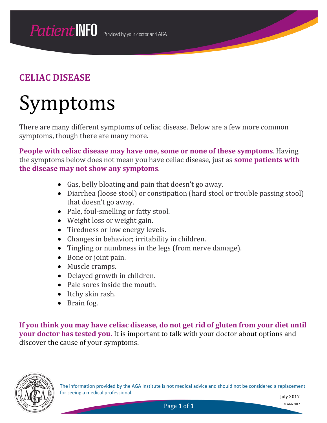## Symptoms

There are many different symptoms of celiac disease. Below are a few more common symptoms, though there are many more.

**People with celiac disease may have one, some or none of these symptoms**. Having the symptoms below does not mean you have celiac disease, just as **some patients with the disease may not show any symptoms**.

- Gas, belly bloating and pain that doesn't go away.
- Diarrhea (loose stool) or constipation (hard stool or trouble passing stool) that doesn't go away.
- Pale, foul-smelling or fatty stool.
- Weight loss or weight gain.
- Tiredness or low energy levels.
- Changes in behavior; irritability in children.
- Tingling or numbness in the legs (from nerve damage).
- Bone or joint pain.
- Muscle cramps.
- Delayed growth in children.
- Pale sores inside the mouth.
- Itchy skin rash.
- Brain fog.

**If you think you may have celiac disease, do not get rid of gluten from your diet until your doctor has tested you.** It is important to talk with your doctor about options and discover the cause of your symptoms.



The information provided by the AGA Institute is not medical advice and should not be considered a replacement for seeing a medical professional.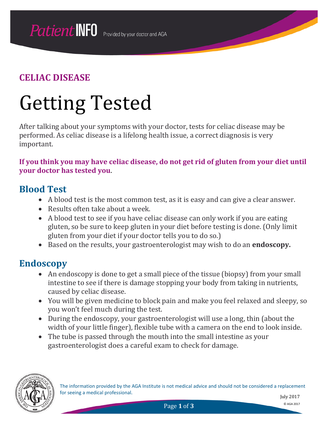## Getting Tested

After talking about your symptoms with your doctor, tests for celiac disease may be performed. As celiac disease is a lifelong health issue, a correct diagnosis is very important.

**If you think you may have celiac disease, do not get rid of gluten from your diet until your doctor has tested you**.

#### **Blood Test**

- A blood test is the most common test, as it is easy and can give a clear answer.
- Results often take about a week.
- A blood test to see if you have celiac disease can only work if you are eating gluten, so be sure to keep gluten in your diet before testing is done. (Only limit gluten from your diet if your doctor tells you to do so.)
- Based on the results, your gastroenterologist may wish to do an **endoscopy.**

#### **Endoscopy**

- An endoscopy is done to get a small piece of the tissue (biopsy) from your small intestine to see if there is damage stopping your body from taking in nutrients, caused by celiac disease.
- You will be given medicine to block pain and make you feel relaxed and sleepy, so you won't feel much during the test.
- During the endoscopy, your gastroenterologist will use a long, thin (about the width of your little finger), flexible tube with a camera on the end to look inside.
- The tube is passed through the mouth into the small intestine as your gastroenterologist does a careful exam to check for damage.



The information provided by the AGA Institute is not medical advice and should not be considered a replacement for seeing a medical professional.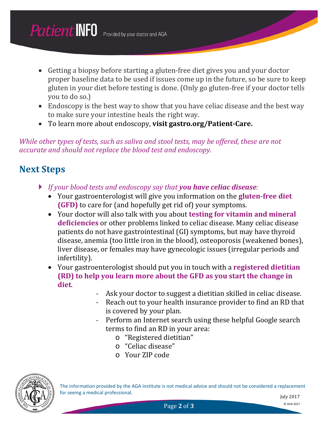- Getting a biopsy before starting a gluten-free diet gives you and your doctor proper baseline data to be used if issues come up in the future, so be sure to keep gluten in your diet before testing is done. (Only go gluten-free if your doctor tells you to do so.)
- Endoscopy is the best way to show that you have celiac disease and the best way to make sure your intestine heals the right way.
- To learn more about endoscopy, **visit gastro.org/Patient-Care.**

*While other types of tests, such as saliva and stool tests, may be offered, these are not accurate and should not replace the blood test and endoscopy.* 

### **Next Steps**

- *If your blood tests and endoscopy say that you have celiac disease:*
	- Your gastroenterologist will give you information on the **gluten-free diet (GFD)** to care for (and hopefully get rid of) your symptoms.
	- Your doctor will also talk with you about **testing for vitamin and mineral deficiencies** or other problems linked to celiac disease. Many celiac disease patients do not have gastrointestinal (GI) symptoms, but may have thyroid disease, anemia (too little iron in the blood), osteoporosis (weakened bones), liver disease, or females may have gynecologic issues (irregular periods and infertility).
	- Your gastroenterologist should put you in touch with a **registered dietitian (RD) to help you learn more about the GFD as you start the change in diet**.
		- Ask your doctor to suggest a dietitian skilled in celiac disease.
		- Reach out to your health insurance provider to find an RD that is covered by your plan.
		- Perform an Internet search using these helpful Google search terms to find an RD in your area:
			- o "Registered dietitian"
			- o "Celiac disease"
			- o Your ZIP code



The information provided by the AGA Institute is not medical advice and should not be considered a replacement for seeing a medical professional.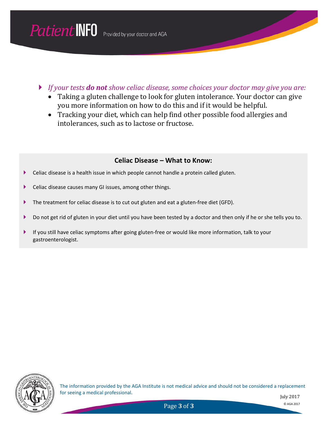*If your tests do not show celiac disease, some choices your doctor may give you are:*

- Taking a gluten challenge to look for gluten intolerance. Your doctor can give you more information on how to do this and if it would be helpful.
- Tracking your diet, which can help find other possible food allergies and intolerances, such as to lactose or fructose.

#### **Celiac Disease – What to Know:**

- Celiac disease is a health issue in which people cannot handle a protein called gluten.
- Celiac disease causes many GI issues, among other things.
- The treatment for celiac disease is to cut out gluten and eat a gluten-free diet (GFD).
- Do not get rid of gluten in your diet until you have been tested by a doctor and then only if he or she tells you to.
- If you still have celiac symptoms after going gluten-free or would like more information, talk to your gastroenterologist.



The information provided by the AGA Institute is not medical advice and should not be considered a replacement for seeing a medical professional.

July 2017

Page **3** of **3** © AGA 2017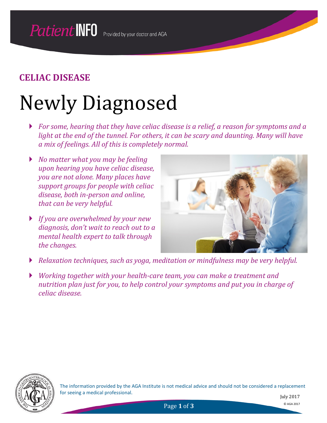## Newly Diagnosed

- *For some, hearing that they have celiac disease is a relief, a reason for symptoms and a light at the end of the tunnel. For others, it can be scary and daunting. Many will have a mix of feelings. All of this is completely normal.*
- *No matter what you may be feeling upon hearing you have celiac disease, you are not alone. Many places have support groups for people with celiac disease, both in-person and online, that can be very helpful.*
- *If you are overwhelmed by your new diagnosis, don't wait to reach out to a mental health expert to talk through the changes.*



- *Relaxation techniques, such as yoga, meditation or mindfulness may be very helpful.*
- *Working together with your health-care team, you can make a treatment and nutrition plan just for you, to help control your symptoms and put you in charge of celiac disease.*



The information provided by the AGA Institute is not medical advice and should not be considered a replacement for seeing a medical professional.

Page **1** of **3** © AGA 2017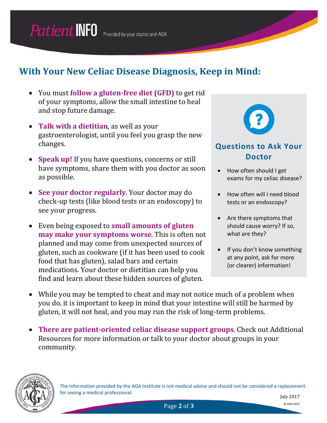## **With Your New Celiac Disease Diagnosis, Keep in Mind:**

- You must **follow a gluten-free diet (GFD)** to get rid of your symptoms, allow the small intestine to heal and stop future damage.
- **Talk with a dietitian**, as well as your gastroenterologist, until you feel you grasp the new changes.
- **Speak up!** If you have questions, concerns or still have symptoms, share them with you doctor as soon as possible.
- **See your doctor regularly**. Your doctor may do check-up tests (like blood tests or an endoscopy) to see your progress.
- Even being exposed to **small amounts of gluten may make your symptoms worse**. This is often not planned and may come from unexpected sources of gluten, such as cookware (if it has been used to cook food that has gluten), salad bars and certain medications. Your doctor or dietitian can help you find and learn about these hidden sources of gluten.



#### **Questions to Ask Your Doctor**

- How often should I get exams for my celiac disease?
- How often will I need blood tests or an endoscopy?
- Are there symptoms that should cause worry? If so, what are they?
- If you don't know something at any point, ask for more (or clearer) information!
- While you may be tempted to cheat and may not notice much of a problem when you do, it is important to keep in mind that your intestine will still be harmed by gluten, it will not heal, and you may run the risk of long-term problems.
- **There are patient-oriented celiac disease support groups**. Check out Additional Resources for more information or talk to your doctor about groups in your community.



The information provided by the AGA Institute is not medical advice and should not be considered a replacement for seeing a medical professional.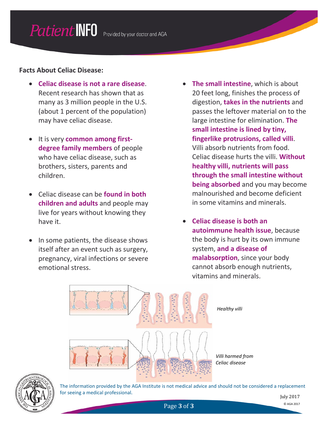#### **Facts About Celiac Disease:**

- **Celiac disease is not a rare disease**. Recent research has shown that as many as 3 million people in the U.S. (about 1 percent of the population) may have celiac disease.
- It is very **common among firstdegree family members** of people who have celiac disease, such as brothers, sisters, parents and children.
- Celiac disease can be **found in both children and adults** and people may live for years without knowing they have it.
- In some patients, the disease shows itself after an event such as surgery, pregnancy, viral infections or severe emotional stress.
- **The small intestine**, which is about 20 feet long, finishes the process of digestion, **takes in the nutrients** and passes the leftover material on to the large intestine for elimination. **The small intestine is lined by tiny, fingerlike protrusions, called villi**. Villi absorb nutrients from food. Celiac disease hurts the villi. **Without healthy villi, nutrients will pass through the small intestine without being absorbed** and you may become malnourished and become deficient in some vitamins and minerals.
- **Celiac disease is both an autoimmune health issue**, because the body is hurt by its own immune system, **and a disease of malabsorption**, since your body cannot absorb enough nutrients, vitamins and minerals.



*Healthy villi*

*Villi harmed from Celiac disease*



The information provided by the AGA Institute is not medical advice and should not be considered a replacement for seeing a medical professional.

Page **3** of **3** © AGA 2017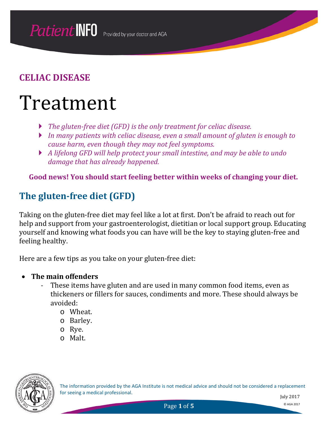## Treatment

- *The gluten-free diet (GFD) is the only treatment for celiac disease.*
- *In many patients with celiac disease, even a small amount of gluten is enough to cause harm, even though they may not feel symptoms.*
- *A lifelong GFD will help protect your small intestine, and may be able to undo damage that has already happened.*

**Good news! You should start feeling better within weeks of changing your diet.**

## **The gluten-free diet (GFD)**

Taking on the gluten-free diet may feel like a lot at first. Don't be afraid to reach out for help and support from your gastroenterologist, dietitian or local support group. Educating yourself and knowing what foods you can have will be the key to staying gluten-free and feeling healthy.

Here are a few tips as you take on your gluten-free diet:

- **The main offenders**
	- These items have gluten and are used in many common food items, even as thickeners or fillers for sauces, condiments and more. These should always be avoided:
		- o Wheat.
		- o Barley.
		- o Rye.
		- o Malt.



The information provided by the AGA Institute is not medical advice and should not be considered a replacement for seeing a medical professional.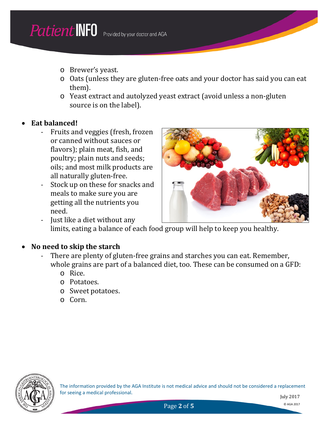- o Brewer's yeast.
- o Oats (unless they are gluten-free oats and your doctor has said you can eat them).
- o Yeast extract and autolyzed yeast extract (avoid unless a non-gluten source is on the label).

#### • **Eat balanced!**

- Fruits and veggies (fresh, frozen or canned without sauces or flavors); plain meat, fish, and poultry; plain nuts and seeds; oils; and most milk products are all naturally gluten-free.
- Stock up on these for snacks and meals to make sure you are getting all the nutrients you need.



- Just like a diet without any limits, eating a balance of each food group will help to keep you healthy.

#### • **No need to skip the starch**

- There are plenty of gluten-free grains and starches you can eat. Remember, whole grains are part of a balanced diet, too. These can be consumed on a GFD:
	- o Rice.
	- o Potatoes.
	- o Sweet potatoes.
	- o Corn.



The information provided by the AGA Institute is not medical advice and should not be considered a replacement for seeing a medical professional.

July 2017

Page 2 of 5 © AGA 2017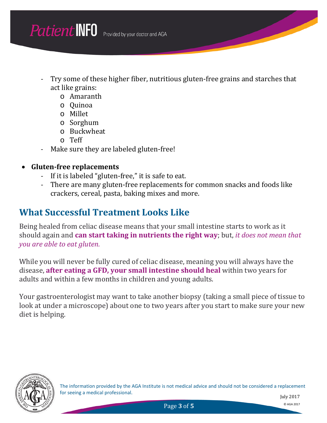- Try some of these higher fiber, nutritious gluten-free grains and starches that act like grains:
	- o Amaranth
	- o Quinoa
	- o Millet
	- o Sorghum
	- o Buckwheat
	- o Teff
- Make sure they are labeled gluten-free!

#### • **Gluten-free replacements**

- If it is labeled "gluten-free," it is safe to eat.
- There are many gluten-free replacements for common snacks and foods like crackers, cereal, pasta, baking mixes and more.

## **What Successful Treatment Looks Like**

Being healed from celiac disease means that your small intestine starts to work as it should again and **can start taking in nutrients the right way**; but, *it does not mean that you are able to eat gluten.*

While you will never be fully cured of celiac disease, meaning you will always have the disease, **after eating a GFD, your small intestine should heal** within two years for adults and within a few months in children and young adults.

Your gastroenterologist may want to take another biopsy (taking a small piece of tissue to look at under a microscope) about one to two years after you start to make sure your new diet is helping.



The information provided by the AGA Institute is not medical advice and should not be considered a replacement for seeing a medical professional.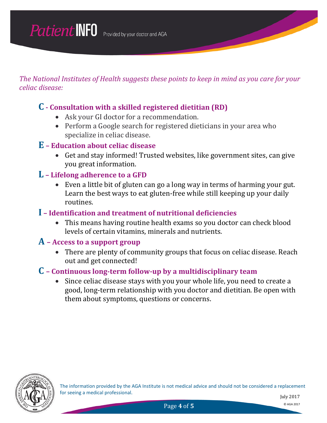*The National Institutes of Health suggests these points to keep in mind as you care for your celiac disease:*

#### **C - Consultation with a skilled registered dietitian (RD)**

- Ask your GI doctor for a recommendation.
- Perform a Google search for registered dieticians in your area who specialize in celiac disease.

#### **E – Education about celiac disease**

- Get and stay informed! Trusted websites, like government sites, can give you great information.
- **L – Lifelong adherence to a GFD**
	- Even a little bit of gluten can go a long way in terms of harming your gut. Learn the best ways to eat gluten-free while still keeping up your daily routines.

#### **I – Identification and treatment of nutritional deficiencies**

• This means having routine health exams so you doctor can check blood levels of certain vitamins, minerals and nutrients.

#### **A – Access to a support group**

• There are plenty of community groups that focus on celiac disease. Reach out and get connected!

#### **C – Continuous long-term follow-up by a multidisciplinary team**

• Since celiac disease stays with you your whole life, you need to create a good, long-term relationship with you doctor and dietitian. Be open with them about symptoms, questions or concerns.



The information provided by the AGA Institute is not medical advice and should not be considered a replacement for seeing a medical professional.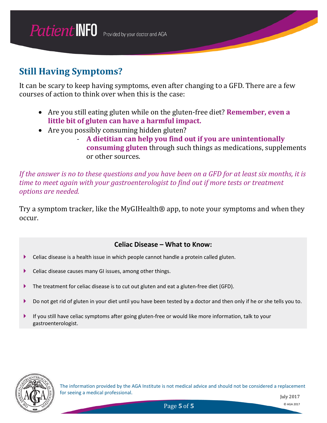## **Still Having Symptoms?**

It can be scary to keep having symptoms, even after changing to a GFD. There are a few courses of action to think over when this is the case:

- Are you still eating gluten while on the gluten-free diet? **Remember, even a little bit of gluten can have a harmful impact.**
- Are you possibly consuming hidden gluten?
	- **A dietitian can help you find out if you are unintentionally consuming gluten** through such things as medications, supplements or other sources.

*If the answer is no to these questions and you have been on a GFD for at least six months, it is time to meet again with your gastroenterologist to find out if more tests or treatment options are needed.* 

Try a symptom tracker, like the MyGIHealth® app, to note your symptoms and when they occur.

#### **Celiac Disease – What to Know:**

- Celiac disease is a health issue in which people cannot handle a protein called gluten.
- Celiac disease causes many GI issues, among other things.
- ▶ The treatment for celiac disease is to cut out gluten and eat a gluten-free diet (GFD).
- Do not get rid of gluten in your diet until you have been tested by a doctor and then only if he or she tells you to.
- If you still have celiac symptoms after going gluten-free or would like more information, talk to your gastroenterologist.



The information provided by the AGA Institute is not medical advice and should not be considered a replacement for seeing a medical professional.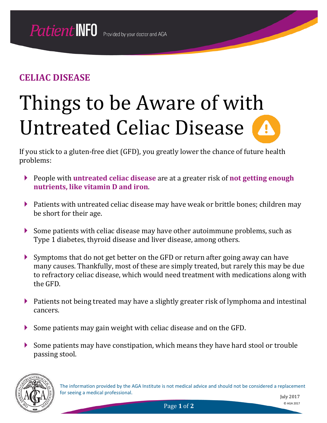# Things to be Aware of with Untreated Celiac Disease

If you stick to a gluten-free diet (GFD), you greatly lower the chance of future health problems:

- People with **untreated celiac disease** are at a greater risk of **not getting enough nutrients, like vitamin D and iron**.
- ▶ Patients with untreated celiac disease may have weak or brittle bones; children may be short for their age.
- Some patients with celiac disease may have other autoimmune problems, such as Type 1 diabetes, thyroid disease and liver disease, among others.
- Symptoms that do not get better on the GFD or return after going away can have many causes. Thankfully, most of these are simply treated, but rarely this may be due to refractory celiac disease, which would need treatment with medications along with the GFD.
- Patients not being treated may have a slightly greater risk of lymphoma and intestinal cancers.
- Some patients may gain weight with celiac disease and on the GFD.
- Some patients may have constipation, which means they have hard stool or trouble passing stool.



The information provided by the AGA Institute is not medical advice and should not be considered a replacement for seeing a medical professional.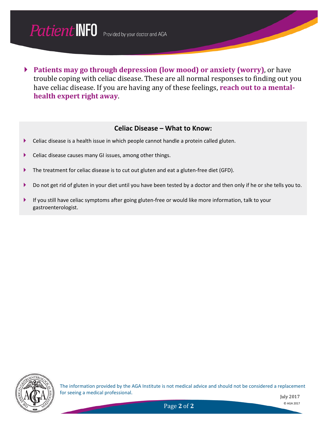

 **Patients may go through depression (low mood) or anxiety (worry)**, or have trouble coping with celiac disease. These are all normal responses to finding out you have celiac disease. If you are having any of these feelings, **reach out to a mentalhealth expert right away**.

#### **Celiac Disease – What to Know:**

- Celiac disease is a health issue in which people cannot handle a protein called gluten.
- Celiac disease causes many GI issues, among other things.
- ▶ The treatment for celiac disease is to cut out gluten and eat a gluten-free diet (GFD).
- Do not get rid of gluten in your diet until you have been tested by a doctor and then only if he or she tells you to.
- If you still have celiac symptoms after going gluten-free or would like more information, talk to your gastroenterologist.



The information provided by the AGA Institute is not medical advice and should not be considered a replacement for seeing a medical professional.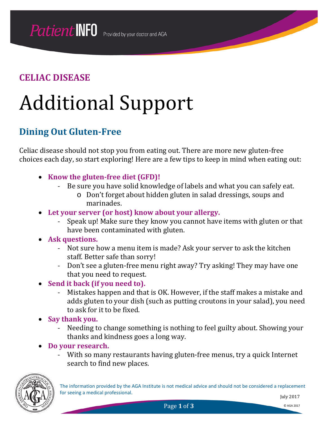## Additional Support

## **Dining Out Gluten-Free**

Celiac disease should not stop you from eating out. There are more new gluten-free choices each day, so start exploring! Here are a few tips to keep in mind when eating out:

- **Know the gluten-free diet (GFD)!**
	- Be sure you have solid knowledge of labels and what you can safely eat.
		- o Don't forget about hidden gluten in salad dressings, soups and marinades.
- **Let your server (or host) know about your allergy.**
	- Speak up! Make sure they know you cannot have items with gluten or that have been contaminated with gluten.
- **Ask questions.**
	- Not sure how a menu item is made? Ask your server to ask the kitchen staff. Better safe than sorry!
	- Don't see a gluten-free menu right away? Try asking! They may have one that you need to request.
- **Send it back (if you need to).**
	- Mistakes happen and that is OK. However, if the staff makes a mistake and adds gluten to your dish (such as putting croutons in your salad), you need to ask for it to be fixed.
- **Say thank you.**
	- Needing to change something is nothing to feel guilty about. Showing your thanks and kindness goes a long way.
- **Do your research.**
	- With so many restaurants having gluten-free menus, try a quick Internet search to find new places.

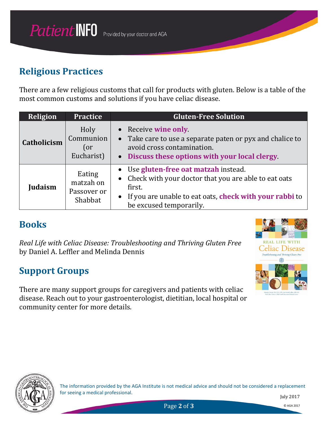## **Religious Practices**

There are a few religious customs that call for products with gluten. Below is a table of the most common customs and solutions if you have celiac disease.

| Religion    | <b>Practice</b>                               | <b>Gluten-Free Solution</b>                                                                                                                                                                                |
|-------------|-----------------------------------------------|------------------------------------------------------------------------------------------------------------------------------------------------------------------------------------------------------------|
| Catholicism | Holy<br>Communion<br>(or<br>Eucharist)        | • Receive wine only<br>• Take care to use a separate paten or pyx and chalice to<br>avoid cross contamination.<br>• Discuss these options with your local clergy                                           |
| Judaism     | Eating<br>matzah on<br>Passover or<br>Shabbat | • Use gluten-free oat matzah instead.<br>Check with your doctor that you are able to eat oats<br>first.<br>If you are unable to eat oats, check with your rabbi to<br>$\bullet$<br>be excused temporarily. |

#### **Books**

*Real Life with Celiac Disease: Troubleshooting and Thriving Gluten Free* by Daniel A. Leffler and Melinda Dennis

## **Support Groups**

There are many support groups for caregivers and patients with celiac disease. Reach out to your gastroenterologist, dietitian, local hospital or community center for more details.





The information provided by the AGA Institute is not medical advice and should not be considered a replacement for seeing a medical professional.